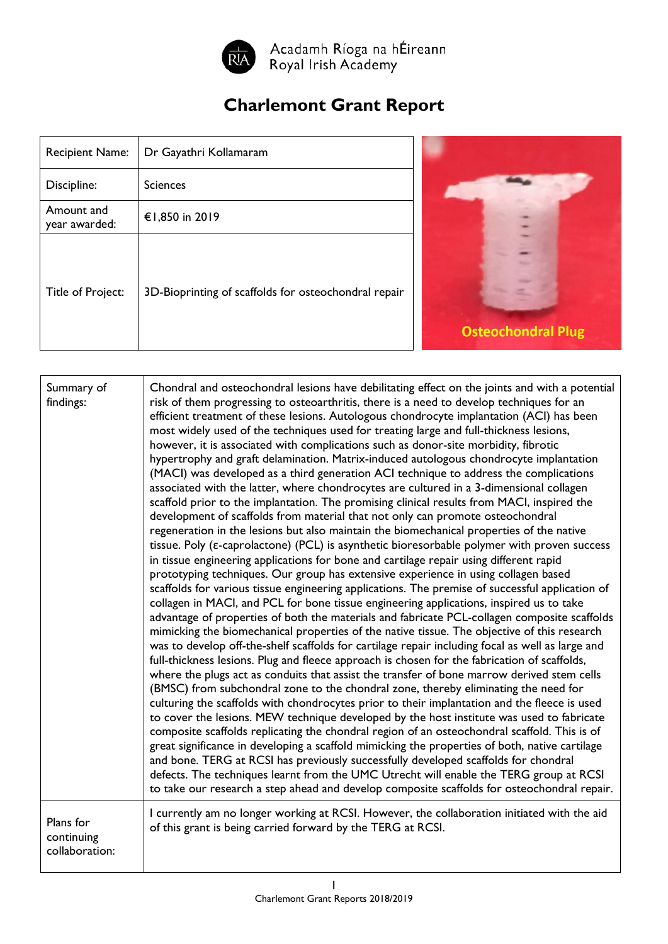

Acadamh Ríoga na hÉireann<br>Royal Irish Academy

## **Charlemont Grant Report**

| <b>Recipient Name:</b>      | Dr Gayathri Kollamaram                               |
|-----------------------------|------------------------------------------------------|
| Discipline:                 | <b>Sciences</b>                                      |
| Amount and<br>year awarded: | €1,850 in 2019                                       |
| Title of Project:           | 3D-Bioprinting of scaffolds for osteochondral repair |



| Summary of<br>findings:                   | Chondral and osteochondral lesions have debilitating effect on the joints and with a potential<br>risk of them progressing to osteoarthritis, there is a need to develop techniques for an<br>efficient treatment of these lesions. Autologous chondrocyte implantation (ACI) has been<br>most widely used of the techniques used for treating large and full-thickness lesions,<br>however, it is associated with complications such as donor-site morbidity, fibrotic<br>hypertrophy and graft delamination. Matrix-induced autologous chondrocyte implantation<br>(MACI) was developed as a third generation ACI technique to address the complications<br>associated with the latter, where chondrocytes are cultured in a 3-dimensional collagen<br>scaffold prior to the implantation. The promising clinical results from MACI, inspired the<br>development of scaffolds from material that not only can promote osteochondral<br>regeneration in the lesions but also maintain the biomechanical properties of the native<br>tissue. Poly ( $\varepsilon$ -caprolactone) (PCL) is asynthetic bioresorbable polymer with proven success<br>in tissue engineering applications for bone and cartilage repair using different rapid<br>prototyping techniques. Our group has extensive experience in using collagen based<br>scaffolds for various tissue engineering applications. The premise of successful application of<br>collagen in MACI, and PCL for bone tissue engineering applications, inspired us to take<br>advantage of properties of both the materials and fabricate PCL-collagen composite scaffolds<br>mimicking the biomechanical properties of the native tissue. The objective of this research<br>was to develop off-the-shelf scaffolds for cartilage repair including focal as well as large and<br>full-thickness lesions. Plug and fleece approach is chosen for the fabrication of scaffolds,<br>where the plugs act as conduits that assist the transfer of bone marrow derived stem cells<br>(BMSC) from subchondral zone to the chondral zone, thereby eliminating the need for<br>culturing the scaffolds with chondrocytes prior to their implantation and the fleece is used<br>to cover the lesions. MEW technique developed by the host institute was used to fabricate<br>composite scaffolds replicating the chondral region of an osteochondral scaffold. This is of<br>great significance in developing a scaffold mimicking the properties of both, native cartilage<br>and bone. TERG at RCSI has previously successfully developed scaffolds for chondral<br>defects. The techniques learnt from the UMC Utrecht will enable the TERG group at RCSI<br>to take our research a step ahead and develop composite scaffolds for osteochondral repair. |
|-------------------------------------------|-----------------------------------------------------------------------------------------------------------------------------------------------------------------------------------------------------------------------------------------------------------------------------------------------------------------------------------------------------------------------------------------------------------------------------------------------------------------------------------------------------------------------------------------------------------------------------------------------------------------------------------------------------------------------------------------------------------------------------------------------------------------------------------------------------------------------------------------------------------------------------------------------------------------------------------------------------------------------------------------------------------------------------------------------------------------------------------------------------------------------------------------------------------------------------------------------------------------------------------------------------------------------------------------------------------------------------------------------------------------------------------------------------------------------------------------------------------------------------------------------------------------------------------------------------------------------------------------------------------------------------------------------------------------------------------------------------------------------------------------------------------------------------------------------------------------------------------------------------------------------------------------------------------------------------------------------------------------------------------------------------------------------------------------------------------------------------------------------------------------------------------------------------------------------------------------------------------------------------------------------------------------------------------------------------------------------------------------------------------------------------------------------------------------------------------------------------------------------------------------------------------------------------------------------------------------------------------------------------------------------------------------------------------------------------------------------------------------------------------------------------------------------------------------------------|
| Plans for<br>continuing<br>collaboration: | I currently am no longer working at RCSI. However, the collaboration initiated with the aid<br>of this grant is being carried forward by the TERG at RCSI.                                                                                                                                                                                                                                                                                                                                                                                                                                                                                                                                                                                                                                                                                                                                                                                                                                                                                                                                                                                                                                                                                                                                                                                                                                                                                                                                                                                                                                                                                                                                                                                                                                                                                                                                                                                                                                                                                                                                                                                                                                                                                                                                                                                                                                                                                                                                                                                                                                                                                                                                                                                                                                          |